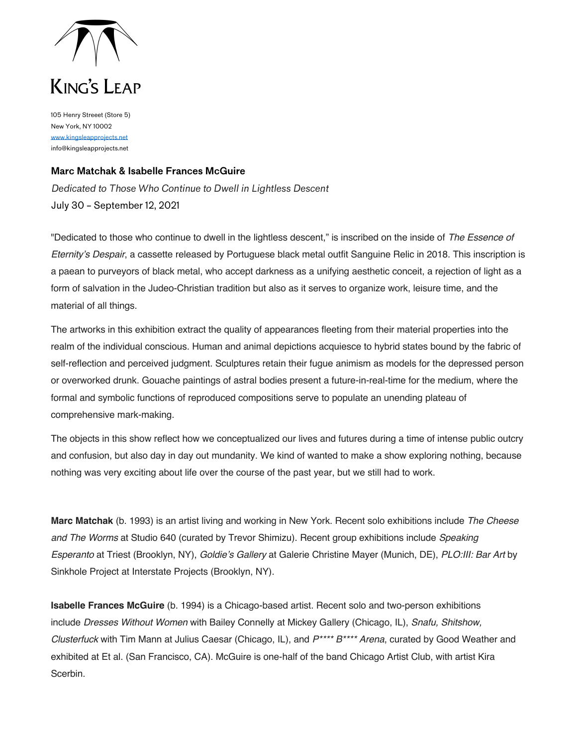

## KING'S LEAP

105 Henry Streeet (Store 5) New York, NY 10002 www.kingsleapprojects.net info@kingsleapprojects.net

## **Marc Matchak & Isabelle Frances McGuire**

*Dedicated to Those Who Continue to Dwell in Lightless Descent* July 30 – September 12, 2021

"Dedicated to those who continue to dwell in the lightless descent," is inscribed on the inside of *The Essence of Eternity's Despair*, a cassette released by Portuguese black metal outfit Sanguine Relic in 2018. This inscription is a paean to purveyors of black metal, who accept darkness as a unifying aesthetic conceit, a rejection of light as a form of salvation in the Judeo-Christian tradition but also as it serves to organize work, leisure time, and the material of all things.

The artworks in this exhibition extract the quality of appearances fleeting from their material properties into the realm of the individual conscious. Human and animal depictions acquiesce to hybrid states bound by the fabric of self-reflection and perceived judgment. Sculptures retain their fugue animism as models for the depressed person or overworked drunk. Gouache paintings of astral bodies present a future-in-real-time for the medium, where the formal and symbolic functions of reproduced compositions serve to populate an unending plateau of comprehensive mark-making.

The objects in this show reflect how we conceptualized our lives and futures during a time of intense public outcry and confusion, but also day in day out mundanity. We kind of wanted to make a show exploring nothing, because nothing was very exciting about life over the course of the past year, but we still had to work.

**Marc Matchak** (b. 1993) is an artist living and working in New York. Recent solo exhibitions include *The Cheese and The Worms* at Studio 640 (curated by Trevor Shimizu). Recent group exhibitions include *Speaking Esperanto* at Triest (Brooklyn, NY), *Goldie's Gallery* at Galerie Christine Mayer (Munich, DE), *PLO:III: Bar Art* by Sinkhole Project at Interstate Projects (Brooklyn, NY).

**Isabelle Frances McGuire** (b. 1994) is a Chicago-based artist. Recent solo and two-person exhibitions include *Dresses Without Women* with Bailey Connelly at Mickey Gallery (Chicago, IL), *Snafu, Shitshow, Clusterfuck* with Tim Mann at Julius Caesar (Chicago, IL), and *P\*\*\*\* B\*\*\*\* Arena*, curated by Good Weather and exhibited at Et al. (San Francisco, CA). McGuire is one-half of the band Chicago Artist Club, with artist Kira Scerbin.